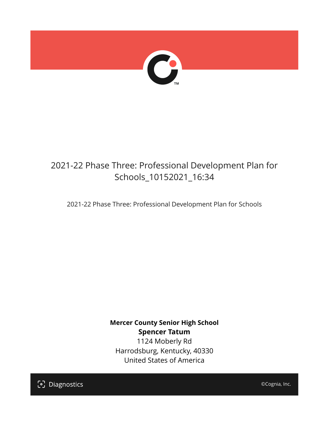

## 2021-22 Phase Three: Professional Development Plan for Schools\_10152021\_16:34

2021-22 Phase Three: Professional Development Plan for Schools

**Mercer County Senior High School Spencer Tatum** 1124 Moberly Rd Harrodsburg, Kentucky, 40330 United States of America

[၁] Diagnostics

©Cognia, Inc.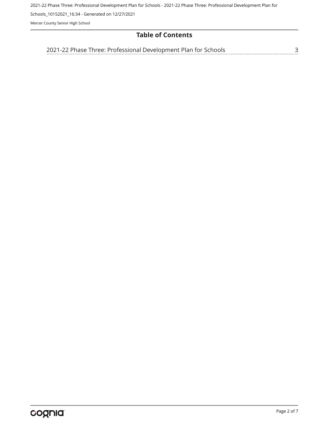2021-22 Phase Three: Professional Development Plan for Schools - 2021-22 Phase Three: Professional Development Plan for

Schools\_10152021\_16:34 - Generated on 12/27/2021

Mercer County Senior High School

## **Table of Contents**

[2021-22 Phase Three: Professional Development Plan for Schools](#page-2-0)[3](#page-2-0)<br>...........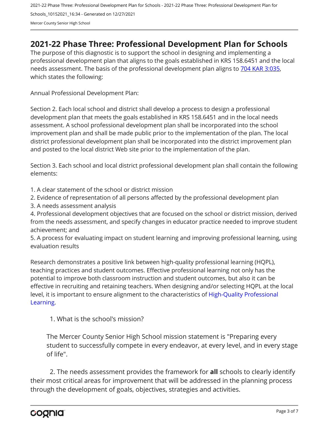2021-22 Phase Three: Professional Development Plan for Schools - 2021-22 Phase Three: Professional Development Plan for Schools\_10152021\_16:34 - Generated on 12/27/2021 Mercer County Senior High School

## <span id="page-2-0"></span>**2021-22 Phase Three: Professional Development Plan for Schools**

The purpose of this diagnostic is to support the school in designing and implementing a professional development plan that aligns to the goals established in KRS 158.6451 and the local needs assessment. The basis of the professional development plan aligns to [704 KAR 3:035,](https://apps.legislature.ky.gov/Law/kar/704/003/035.pdf) which states the following:

Annual Professional Development Plan:

Section 2. Each local school and district shall develop a process to design a professional development plan that meets the goals established in KRS 158.6451 and in the local needs assessment. A school professional development plan shall be incorporated into the school improvement plan and shall be made public prior to the implementation of the plan. The local district professional development plan shall be incorporated into the district improvement plan and posted to the local district Web site prior to the implementation of the plan.

Section 3. Each school and local district professional development plan shall contain the following elements:

1. A clear statement of the school or district mission

2. Evidence of representation of all persons affected by the professional development plan

3. A needs assessment analysis

4. Professional development objectives that are focused on the school or district mission, derived from the needs assessment, and specify changes in educator practice needed to improve student achievement; and

5. A process for evaluating impact on student learning and improving professional learning, using evaluation results

Research demonstrates a positive link between high-quality professional learning (HQPL), teaching practices and student outcomes. Effective professional learning not only has the potential to improve both classroom instruction and student outcomes, but also it can be effective in recruiting and retaining teachers. When designing and/or selecting HQPL at the local level, it is important to ensure alignment to the characteristics of [High-Quality Professional](https://protect-us.mimecast.com/s/t_VKCmZ28lUj9ElyiG-gxw?domain=education.ky.gov)  [Learning](https://protect-us.mimecast.com/s/t_VKCmZ28lUj9ElyiG-gxw?domain=education.ky.gov).

1. What is the school's mission?

The Mercer County Senior High School mission statement is "Preparing every student to successfully compete in every endeavor, at every level, and in every stage of life".

2. The needs assessment provides the framework for **all** schools to clearly identify their most critical areas for improvement that will be addressed in the planning process through the development of goals, objectives, strategies and activities.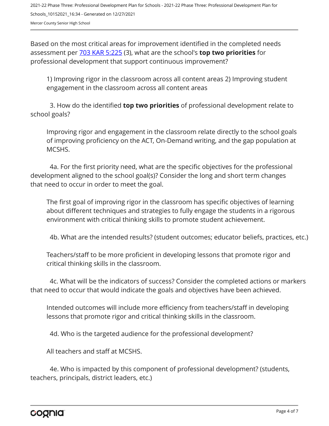Based on the most critical areas for improvement identified in the completed needs assessment per [703 KAR 5:225](https://apps.legislature.ky.gov/law/kar/703/005/225.pdf) (3), what are the school's **top two priorities** for professional development that support continuous improvement?

1) Improving rigor in the classroom across all content areas 2) Improving student engagement in the classroom across all content areas

3. How do the identified **top two priorities** of professional development relate to school goals?

Improving rigor and engagement in the classroom relate directly to the school goals of improving proficiency on the ACT, On-Demand writing, and the gap population at MCSHS.

4a. For the first priority need, what are the specific objectives for the professional development aligned to the school goal(s)? Consider the long and short term changes that need to occur in order to meet the goal.

The first goal of improving rigor in the classroom has specific objectives of learning about different techniques and strategies to fully engage the students in a rigorous environment with critical thinking skills to promote student achievement.

4b. What are the intended results? (student outcomes; educator beliefs, practices, etc.)

Teachers/staff to be more proficient in developing lessons that promote rigor and critical thinking skills in the classroom.

4c. What will be the indicators of success? Consider the completed actions or markers that need to occur that would indicate the goals and objectives have been achieved.

Intended outcomes will include more efficiency from teachers/staff in developing lessons that promote rigor and critical thinking skills in the classroom.

4d. Who is the targeted audience for the professional development?

All teachers and staff at MCSHS.

4e. Who is impacted by this component of professional development? (students, teachers, principals, district leaders, etc.)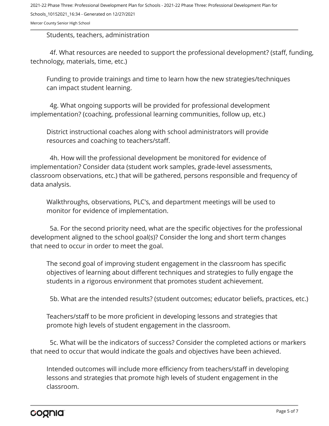2021-22 Phase Three: Professional Development Plan for Schools - 2021-22 Phase Three: Professional Development Plan for Schools\_10152021\_16:34 - Generated on 12/27/2021

Mercer County Senior High School

Students, teachers, administration

4f. What resources are needed to support the professional development? (staff, funding, technology, materials, time, etc.)

Funding to provide trainings and time to learn how the new strategies/techniques can impact student learning.

4g. What ongoing supports will be provided for professional development implementation? (coaching, professional learning communities, follow up, etc.)

District instructional coaches along with school administrators will provide resources and coaching to teachers/staff.

4h. How will the professional development be monitored for evidence of implementation? Consider data (student work samples, grade-level assessments, classroom observations, etc.) that will be gathered, persons responsible and frequency of data analysis.

Walkthroughs, observations, PLC's, and department meetings will be used to monitor for evidence of implementation.

5a. For the second priority need, what are the specific objectives for the professional development aligned to the school goal(s)? Consider the long and short term changes that need to occur in order to meet the goal.

The second goal of improving student engagement in the classroom has specific objectives of learning about different techniques and strategies to fully engage the students in a rigorous environment that promotes student achievement.

5b. What are the intended results? (student outcomes; educator beliefs, practices, etc.)

Teachers/staff to be more proficient in developing lessons and strategies that promote high levels of student engagement in the classroom.

5c. What will be the indicators of success? Consider the completed actions or markers that need to occur that would indicate the goals and objectives have been achieved.

Intended outcomes will include more efficiency from teachers/staff in developing lessons and strategies that promote high levels of student engagement in the classroom.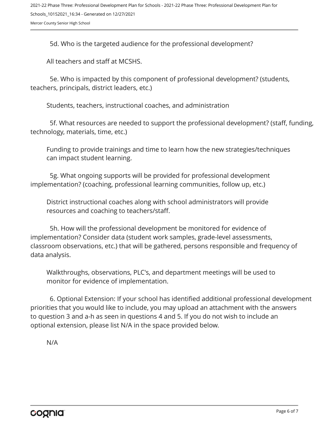5d. Who is the targeted audience for the professional development?

All teachers and staff at MCSHS.

5e. Who is impacted by this component of professional development? (students, teachers, principals, district leaders, etc.)

Students, teachers, instructional coaches, and administration

5f. What resources are needed to support the professional development? (staff, funding, technology, materials, time, etc.)

Funding to provide trainings and time to learn how the new strategies/techniques can impact student learning.

5g. What ongoing supports will be provided for professional development implementation? (coaching, professional learning communities, follow up, etc.)

District instructional coaches along with school administrators will provide resources and coaching to teachers/staff.

5h. How will the professional development be monitored for evidence of implementation? Consider data (student work samples, grade-level assessments, classroom observations, etc.) that will be gathered, persons responsible and frequency of data analysis.

Walkthroughs, observations, PLC's, and department meetings will be used to monitor for evidence of implementation.

6. Optional Extension: If your school has identified additional professional development priorities that you would like to include, you may upload an attachment with the answers to question 3 and a-h as seen in questions 4 and 5. If you do not wish to include an optional extension, please list N/A in the space provided below.

N/A